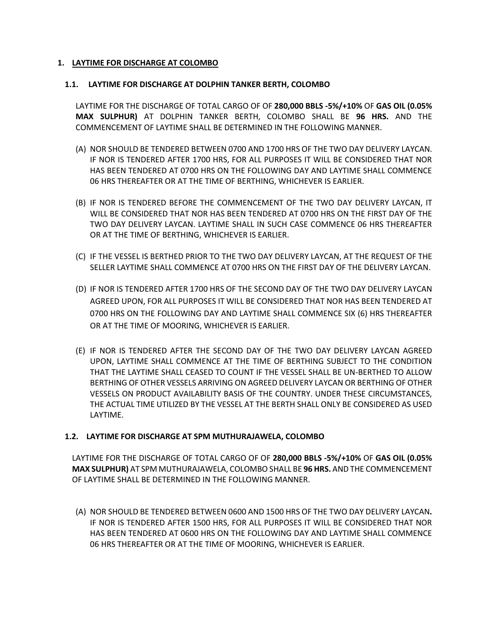## **1. LAYTIME FOR DISCHARGE AT COLOMBO**

## **1.1. LAYTIME FOR DISCHARGE AT DOLPHIN TANKER BERTH, COLOMBO**

LAYTIME FOR THE DISCHARGE OF TOTAL CARGO OF OF **280,000 BBLS -5%/+10%** OF **GAS OIL (0.05% MAX SULPHUR)** AT DOLPHIN TANKER BERTH, COLOMBO SHALL BE **96 HRS.** AND THE COMMENCEMENT OF LAYTIME SHALL BE DETERMINED IN THE FOLLOWING MANNER.

- (A) NOR SHOULD BE TENDERED BETWEEN 0700 AND 1700 HRS OF THE TWO DAY DELIVERY LAYCAN. IF NOR IS TENDERED AFTER 1700 HRS, FOR ALL PURPOSES IT WILL BE CONSIDERED THAT NOR HAS BEEN TENDERED AT 0700 HRS ON THE FOLLOWING DAY AND LAYTIME SHALL COMMENCE 06 HRS THEREAFTER OR AT THE TIME OF BERTHING, WHICHEVER IS EARLIER.
- (B) IF NOR IS TENDERED BEFORE THE COMMENCEMENT OF THE TWO DAY DELIVERY LAYCAN, IT WILL BE CONSIDERED THAT NOR HAS BEEN TENDERED AT 0700 HRS ON THE FIRST DAY OF THE TWO DAY DELIVERY LAYCAN. LAYTIME SHALL IN SUCH CASE COMMENCE 06 HRS THEREAFTER OR AT THE TIME OF BERTHING, WHICHEVER IS EARLIER.
- (C) IF THE VESSEL IS BERTHED PRIOR TO THE TWO DAY DELIVERY LAYCAN, AT THE REQUEST OF THE SELLER LAYTIME SHALL COMMENCE AT 0700 HRS ON THE FIRST DAY OF THE DELIVERY LAYCAN.
- (D) IF NOR IS TENDERED AFTER 1700 HRS OF THE SECOND DAY OF THE TWO DAY DELIVERY LAYCAN AGREED UPON, FOR ALL PURPOSES IT WILL BE CONSIDERED THAT NOR HAS BEEN TENDERED AT 0700 HRS ON THE FOLLOWING DAY AND LAYTIME SHALL COMMENCE SIX (6) HRS THEREAFTER OR AT THE TIME OF MOORING, WHICHEVER IS EARLIER.
- (E) IF NOR IS TENDERED AFTER THE SECOND DAY OF THE TWO DAY DELIVERY LAYCAN AGREED UPON, LAYTIME SHALL COMMENCE AT THE TIME OF BERTHING SUBJECT TO THE CONDITION THAT THE LAYTIME SHALL CEASED TO COUNT IF THE VESSEL SHALL BE UN-BERTHED TO ALLOW BERTHING OF OTHER VESSELS ARRIVING ON AGREED DELIVERY LAYCAN OR BERTHING OF OTHER VESSELS ON PRODUCT AVAILABILITY BASIS OF THE COUNTRY. UNDER THESE CIRCUMSTANCES, THE ACTUAL TIME UTILIZED BY THE VESSEL AT THE BERTH SHALL ONLY BE CONSIDERED AS USED LAYTIME.

## **1.2. LAYTIME FOR DISCHARGE AT SPM MUTHURAJAWELA, COLOMBO**

LAYTIME FOR THE DISCHARGE OF TOTAL CARGO OF OF **280,000 BBLS -5%/+10%** OF **GAS OIL (0.05% MAX SULPHUR)** AT SPM MUTHURAJAWELA, COLOMBO SHALL BE **96 HRS.** AND THE COMMENCEMENT OF LAYTIME SHALL BE DETERMINED IN THE FOLLOWING MANNER.

(A) NOR SHOULD BE TENDERED BETWEEN 0600 AND 1500 HRS OF THE TWO DAY DELIVERY LAYCAN**.** IF NOR IS TENDERED AFTER 1500 HRS, FOR ALL PURPOSES IT WILL BE CONSIDERED THAT NOR HAS BEEN TENDERED AT 0600 HRS ON THE FOLLOWING DAY AND LAYTIME SHALL COMMENCE 06 HRS THEREAFTER OR AT THE TIME OF MOORING, WHICHEVER IS EARLIER.